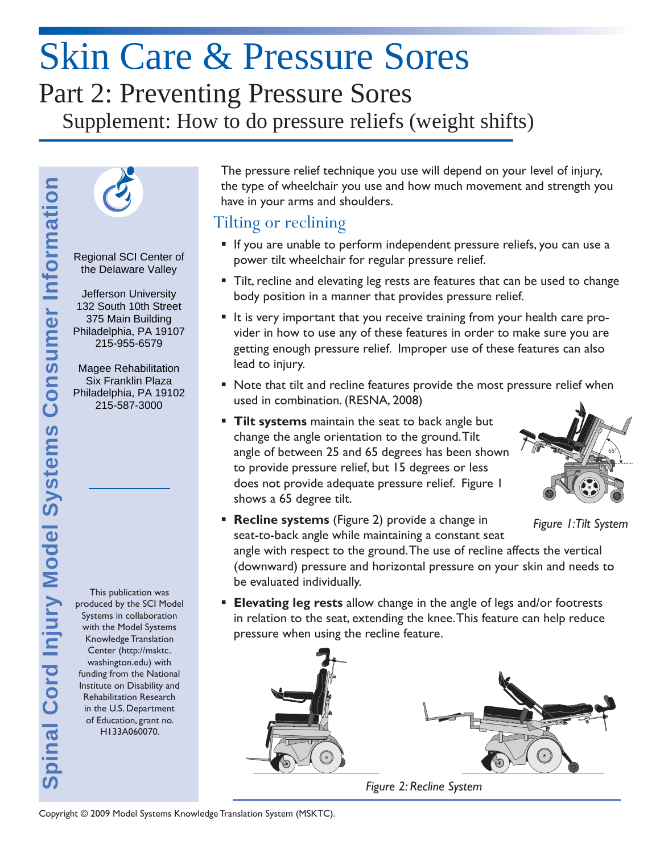# Skin Care & Pressure Sores Part 2: Preventing Pressure Sores Supplement: How to do pressure reliefs (weight shifts)



Regional SCI Center of the Delaware Valley

 Jefferson University  $\overline{a}$ 132 South 10th Street l, Philadelphia, PA 19107 375 Main Building 215-955-6579

Magee Rehabilitation Six Franklin Plaza Philadelphia, PA 19102 215-587-3000

produced by the SCI Model Systems in collaboration with the Model Systems Knowledge Translation Center (http://msktc. washington.edu) with funding from the National Institute on Disability and Rehabilitation Research in the U.S. Department of Education, grant no. H133A060070.

The pressure relief technique you use will depend on your level of injury, the type of wheelchair you use and how much movement and strength you have in your arms and shoulders.

#### Tilting or reclining

- If you are unable to perform independent pressure reliefs, you can use a power tilt wheelchair for regular pressure relief.
- **Tilt, recline and elevating leg rests are features that can be used to change** body position in a manner that provides pressure relief.
- It is very important that you receive training from your health care provider in how to use any of these features in order to make sure you are getting enough pressure relief. Improper use of these features can also lead to injury.
- Note that tilt and recline features provide the most pressure relief when used in combination. (RESNA, 2008)

65°

- **Tilt systems** maintain the seat to back angle but change the angle orientation to the ground. Tilt angle of between 25 and 65 degrees has been shown to provide pressure relief, but 15 degrees or less does not provide adequate pressure relief. Figure 1 shows a 65 degree tilt.
- **Recline systems** (Figure 2) provide a change in seat-to-back angle while maintaining a constant seat angle with respect to the ground. The use of recline affects the vertical (downward) pressure and horizontal pressure on your skin and needs to be evaluated individually. *Figure 1:Tilt System*
- **Elevating leg rests** allow change in the angle of legs and/or footrests in relation to the seat, extending the knee. This feature can help reduce pressure when using the recline feature.



*Figure 2: Recline System*

pinal Cord Injury Model Systems Consumer Information **Spinal Cord Injury Model Systems Consumer Information** This publication was

Copyright © 2009 Model Systems Knowledge Translation System (MSKTC).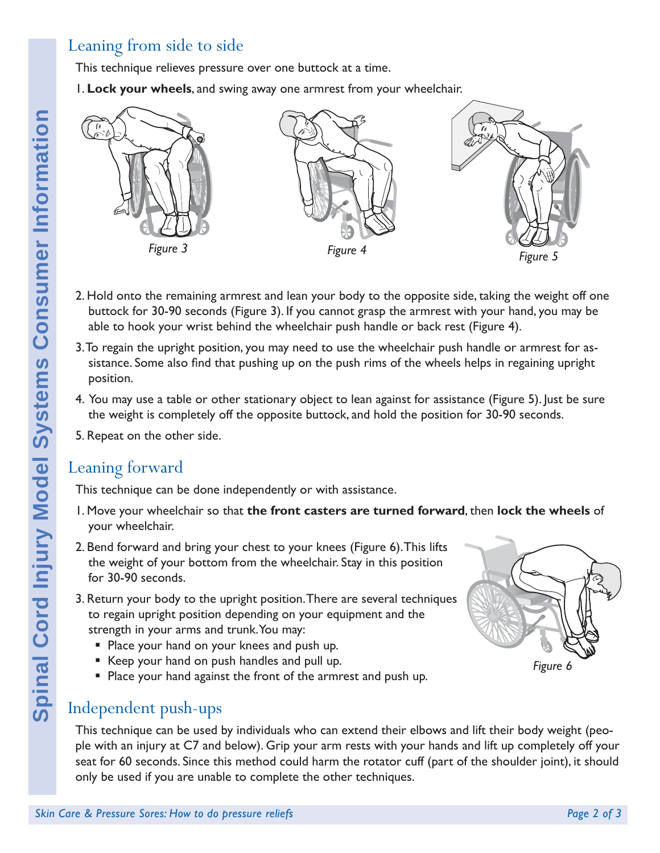## Leaning from side to side

This technique relieves pressure over one buttock at a time.

1. **Lock your wheels**, and swing away one armrest from your wheelchair.



- 2. Hold onto the remaining armrest and lean your body to the opposite side, taking the weight off one buttock for 30-90 seconds (Figure 3). If you cannot grasp the armrest with your hand, you may be able to hook your wrist behind the wheelchair push handle or back rest (Figure 4).
- 3. To regain the upright position, you may need to use the wheelchair push handle or armrest for assistance. Some also find that pushing up on the push rims of the wheels helps in regaining upright position.
- 4. You may use a table or other stationary object to lean against for assistance (Figure 5). Just be sure the weight is completely off the opposite buttock, and hold the position for 30-90 seconds.
- 5. Repeat on the other side.

### Leaning forward

This technique can be done independently or with assistance.

- 1. Move your wheelchair so that **the front casters are turned forward**, then **lock the wheels** of your wheelchair.
- 2. Bend forward and bring your chest to your knees (Figure 6). This lifts the weight of your bottom from the wheelchair. Stay in this position for 30-90 seconds.
- 3. Return your body to the upright position. There are several techniques to regain upright position depending on your equipment and the strength in your arms and trunk. You may:
	- **Place your hand on your knees and push up.**
	- Keep your hand on push handles and pull up.
	- **Place your hand against the front of the armrest and push up.**

## Independent push-ups

This technique can be used by individuals who can extend their elbows and lift their body weight (people with an injury at C7 and below). Grip your arm rests with your hands and lift up completely off your seat for 60 seconds. Since this method could harm the rotator cuff (part of the shoulder joint), it should only be used if you are unable to complete the other techniques.

*Figure 6*